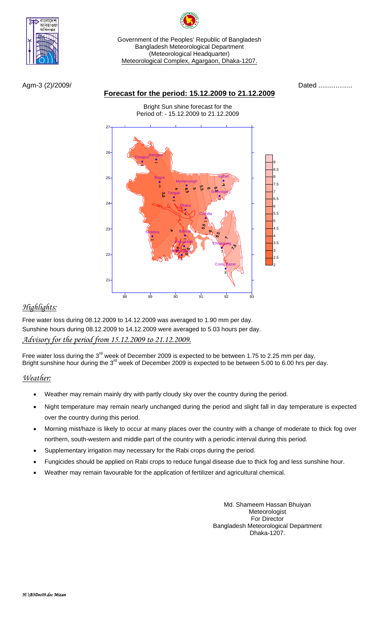

Government of the Peoples' Republic of Bangladesh Bangladesh Meteorological Department (Meteorological Headquarter) Meteorological Complex, Agargaon, Dhaka-1207.

Agm-3 (2)/2009/ Dated ..................

## **Forecast for the period: 15.12.2009 to 21.12.2009**

Bright Sun shine forecast for the Period of: - 15.12.2009 to 21.12.2009



# *Highlights:*

Free water loss during 08.12.2009 to 14.12.2009 was averaged to 1.90 mm per day. Sunshine hours during 08.12.2009 to 14.12.2009 were averaged to 5.03 hours per day. *Advisory for the period from 15.12.2009 to 21.12.2009.*

Free water loss during the 3<sup>rd</sup> week of December 2009 is expected to be between 1.75 to 2.25 mm per day. Bright sunshine hour during the 3<sup>rd</sup> week of December 2009 is expected to be between 5.00 to 6.00 hrs per day.

## *Weather:*

- Weather may remain mainly dry with partly cloudy sky over the country during the period.
- Night temperature may remain nearly unchanged during the period and slight fall in day temperature is expected over the country during this period.
- Morning mist/haze is likely to occur at many places over the country with a change of moderate to thick fog over northern, south-western and middle part of the country with a periodic interval during this period.
- Supplementary irrigation may necessary for the Rabi crops during the period.
- Fungicides should be applied on Rabi crops to reduce fungal disease due to thick fog and less sunshine hour.
- Weather may remain favourable for the application of fertilizer and agricultural chemical.

Md. Shameem Hassan Bhuiyan Meteorologist For Director Bangladesh Meteorological Department Dhaka-1207.